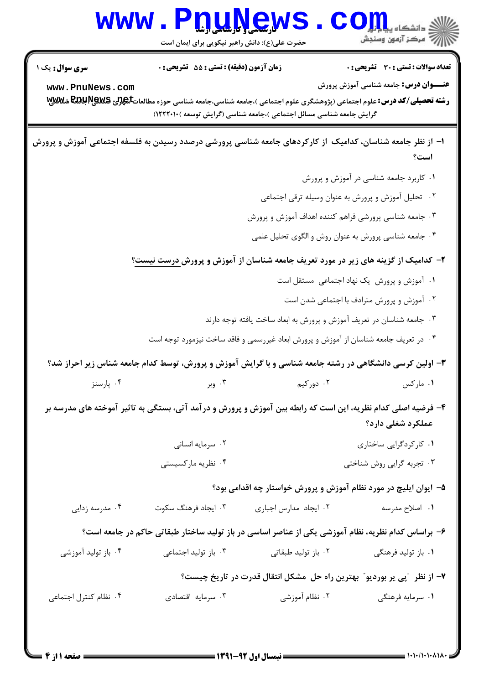|                                                                                                           | www.PnuNews                                                             |                                                                       | الله دانشگاه پیای <mark>ر بار</mark><br>الله مرکز آزمون وسنجش                                                                                                           |  |  |
|-----------------------------------------------------------------------------------------------------------|-------------------------------------------------------------------------|-----------------------------------------------------------------------|-------------------------------------------------------------------------------------------------------------------------------------------------------------------------|--|--|
|                                                                                                           | حضرت علی(ع): دانش راهبر نیکویی برای ایمان است                           |                                                                       |                                                                                                                                                                         |  |  |
| <b>سری سوال :</b> یک ۱                                                                                    | زمان آزمون (دقیقه) : تستی : 55 آتشریحی : 0                              |                                                                       | تعداد سوالات : تستي : 30 - تشريحي : 0                                                                                                                                   |  |  |
| www.PnuNews.com                                                                                           |                                                                         |                                                                       | <b>عنـــوان درس:</b> جامعه شناسی آموزش پرورش<br>رشته تحصیلی/کد درس: علوم اجتماعی (پژوهشگری علوم اجتماعی )،جامعه شناسی،جامعه شناسی حوزه مطالعاتگیچرنی REC RECH شکلاللایی |  |  |
|                                                                                                           |                                                                         | گرایش جامعه شناسی مسائل اجتماعی )،جامعه شناسی (گرایش توسعه )۱۲۲۲۰۱۰)  |                                                                                                                                                                         |  |  |
| ۱– از نظر جامعه شناسان، کدامیک از کارکردهای جامعه شناسی پرورشی درصدد رسیدن به فلسفه اجتماعی آموزش و پرورش |                                                                         |                                                                       |                                                                                                                                                                         |  |  |
|                                                                                                           |                                                                         |                                                                       | است؟                                                                                                                                                                    |  |  |
|                                                                                                           |                                                                         |                                                                       | ۰۱ کاربرد جامعه شناسی در آموزش و پرورش                                                                                                                                  |  |  |
|                                                                                                           | ۰۲ تحلیل آموزش و پرورش به عنوان وسیله ترقی اجتماعی                      |                                                                       |                                                                                                                                                                         |  |  |
| ۰۳ جامعه شناسی پرورشی فراهم کننده اهداف آموزش و پرورش                                                     |                                                                         |                                                                       |                                                                                                                                                                         |  |  |
|                                                                                                           | ۰۴ جامعه شناسي پرورش به عنوان روش و الگوي تحليل علمي                    |                                                                       |                                                                                                                                                                         |  |  |
|                                                                                                           |                                                                         |                                                                       | ۲- کدامیک از گزینه های زیر در مورد تعریف جامعه شناسان از آموزش و پرورش <u>درست نیست</u> ؟                                                                               |  |  |
|                                                                                                           | ۰۱ آموزش و پرورش یک نهاد اجتماعی مستقل است                              |                                                                       |                                                                                                                                                                         |  |  |
|                                                                                                           |                                                                         |                                                                       | ۰۲ آموزش و پرورش مترادف با اجتماعی شدن است                                                                                                                              |  |  |
|                                                                                                           |                                                                         | ۰۳ جامعه شناسان در تعریف آموزش و پرورش به ابعاد ساخت یافته توجه دارند |                                                                                                                                                                         |  |  |
| ۰۴ در تعریف جامعه شناسان از آموزش و پرورش ابعاد غیررسمی و فاقد ساخت نیزمورد توجه است                      |                                                                         |                                                                       |                                                                                                                                                                         |  |  |
|                                                                                                           |                                                                         |                                                                       | ۳- اولین کرسی دانشگاهی در رشته جامعه شناسی و با گرایش آموزش و پرورش، توسط کدام جامعه شناس زیر احراز شد؟                                                                 |  |  |
| ۰۴ پارسنز                                                                                                 | ۰۳ وبر                                                                  | ۰۲ دورکیم                                                             | ٠١. ماركس                                                                                                                                                               |  |  |
|                                                                                                           |                                                                         |                                                                       | ۴- فرضیه اصلی کدام نظریه، این است که رابطه بین آموزش و پرورش و درآمد آتی، بستگی به تاثیر آموخته های مدرسه بر                                                            |  |  |
|                                                                                                           |                                                                         |                                                                       | عملکرد شغلی دارد؟                                                                                                                                                       |  |  |
|                                                                                                           | ۰۲ سرمایه انسانی                                                        |                                                                       | ۰۱ کارکردگرایی ساختاری                                                                                                                                                  |  |  |
|                                                                                                           | ۰۴ نظریه مارکسیستی                                                      |                                                                       | ۰۳ تجربه گرایی روش شناختی                                                                                                                                               |  |  |
|                                                                                                           |                                                                         |                                                                       | ۵– ایوان ایلیچ در مورد نظام آموزش و پرورش خواستار چه اقدامی بود؟                                                                                                        |  |  |
| ۰۴ مدرسه زدایی                                                                                            | ۰۳ ایجاد فرهنگ سکوت                                                     | ٠٢ ايجاد مدارس اجباري                                                 | ۰۱ اصلاح مدرسه                                                                                                                                                          |  |  |
| ۶– براساس کدام نظریه، نظام آموزشی یکی از عناصر اساسی در باز تولید ساختار طبقاتی حاکم در جامعه است؟        |                                                                         |                                                                       |                                                                                                                                                                         |  |  |
| ۰۴ باز تولید آموزشی                                                                                       | ۰۳ باز تولید اجتماعی                                                    | ۰۲ باز تولید طبقاتی                                                   | ۰۱ باز تولید فرهنگی                                                                                                                                                     |  |  |
|                                                                                                           | ۷– از نظر ″پی پر بوردیو″ بهترین راه حل ًمشکل انتقال قدرت در تاریخ چیست؟ |                                                                       |                                                                                                                                                                         |  |  |
| ۰۴ نظام کنترل اجتماعی                                                                                     | ۰۳ سرمایه اقتصادی                                                       | ۰۲ نظام آموزشی                                                        | ۰۱ سرمایه فرهنگی                                                                                                                                                        |  |  |
|                                                                                                           |                                                                         |                                                                       |                                                                                                                                                                         |  |  |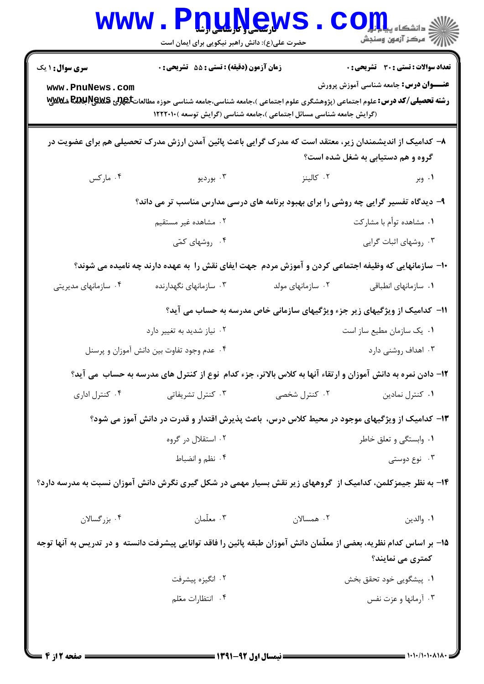| W W W                                                                                                                                     | <b>۷ دارستاسی و تارسلسلی ارشا</b><br>حضرت علی(ع): دانش راهبر نیکویی برای ایمان است                                                                                                                                                                            |                                                                           | د دانشگاه پ <b>یا با تار</b><br>رِ آزمون وسنڊش                                               |  |  |  |
|-------------------------------------------------------------------------------------------------------------------------------------------|---------------------------------------------------------------------------------------------------------------------------------------------------------------------------------------------------------------------------------------------------------------|---------------------------------------------------------------------------|----------------------------------------------------------------------------------------------|--|--|--|
| <b>سری سوال : ۱ یک</b><br>www.PnuNews.com                                                                                                 | زمان آزمون (دقیقه) : تستی : 55 آتشریحی : 0<br><b>رشته تحصیلی/کد درس:</b> علوم اجتماعی (پژوهشگری علوم اجتماعی )،جامعه شناسی،جامعه شناسی حوزه مطالعاتگ <b>یچرنی REC پلاسی تیلاسی به</b><br>(گرایش جامعه شناسی مسائل اجتماعی )،جامعه شناسی (گرایش توسعه )١٢٢٢٠١٠ |                                                                           | <b>تعداد سوالات : تستی : 30 ٪ تشریحی : 0</b><br><b>عنـــوان درس:</b> جامعه شناسی آموزش پرورش |  |  |  |
| ۸– کدامیک از اندیشمندان زیر، معتقد است که مدرک گرایی باعث پائین آمدن ارزش مدرک تحصیلی هم برای عضویت در                                    |                                                                                                                                                                                                                                                               |                                                                           |                                                                                              |  |  |  |
|                                                                                                                                           |                                                                                                                                                                                                                                                               |                                                                           | گروه و هم دستیابی به شغل شده است؟                                                            |  |  |  |
| ۰۴ مارکس                                                                                                                                  | ۰۳ بورديو                                                                                                                                                                                                                                                     | ۰۲ کالینز                                                                 | ۰۱ وبر                                                                                       |  |  |  |
| ۹- دیدگاه تفسیر گرایی چه روشی را برای بهبود برنامه های درسی مدارس مناسب تر می داند؟                                                       |                                                                                                                                                                                                                                                               |                                                                           |                                                                                              |  |  |  |
|                                                                                                                                           | ۰۲ مشاهده غیر مستقیم                                                                                                                                                                                                                                          |                                                                           | ۰۱ مشاهده توأم با مشاركت                                                                     |  |  |  |
|                                                                                                                                           | ۰۴ روشهای کمّی                                                                                                                                                                                                                                                |                                                                           | ۰۳ روشهای اثبات گرایی                                                                        |  |  |  |
|                                                                                                                                           | ∙۱- سازمانهایی که وظیفه اجتماعی کردن و آموزش مردم جهت ایفای نقش را به عهده دارند چه نامیده می شوند؟                                                                                                                                                           |                                                                           |                                                                                              |  |  |  |
| ۰۴ سازمانهای مدیریتی                                                                                                                      | ۰۳ سازمانهای نگهدارنده                                                                                                                                                                                                                                        | ۰۲ سازمانهای مولد                                                         | ٠١ سازمانهای انطباقی                                                                         |  |  |  |
|                                                                                                                                           |                                                                                                                                                                                                                                                               | 11- کدامیک از ویژگیهای زیر جزء ویژگیهای سازمانی خاص مدرسه به حساب می آید؟ |                                                                                              |  |  |  |
|                                                                                                                                           | ۰۲ نیاز شدید به تغییر دارد                                                                                                                                                                                                                                    |                                                                           | ٠١ يک سازمان مطيع ساز است                                                                    |  |  |  |
|                                                                                                                                           | ۰۴ عدم وجود تفاوت بین دانش آموزان و پرسنل                                                                                                                                                                                                                     |                                                                           | ۰۳ اهداف روشنی دارد                                                                          |  |  |  |
| 12- دادن نمره به دانش آموزان و ارتقاء آنها به کلاس بالاتر، جزء کدام نوع از کنترل های مدرسه به حساب می آید؟                                |                                                                                                                                                                                                                                                               |                                                                           |                                                                                              |  |  |  |
| ۰۴ کنترل اداری                                                                                                                            | ۰۳ کنترل تشریفاتی                                                                                                                                                                                                                                             | ۰۲ کنترل شخصی                                                             | ٠١ كنترل نمادين                                                                              |  |  |  |
|                                                                                                                                           | ۱۳– کدامیک از ویژگیهای موجود در محیط کلاس درس، باعث پذیرش اقتدار و قدرت در دانش آموز می شود؟                                                                                                                                                                  |                                                                           |                                                                                              |  |  |  |
|                                                                                                                                           | ۰۲ استقلال در گروه                                                                                                                                                                                                                                            |                                                                           | ۰۱ وابستگی و تعلق خاطر                                                                       |  |  |  |
|                                                                                                                                           | ۰۴ نظم و انضباط                                                                                                                                                                                                                                               |                                                                           | ۰۳ نوع دوستی                                                                                 |  |  |  |
| ۱۴- به نظر جیمزکلمن، کدامیک از گروههای زیر نقش بسیار مهمی در شکل گیری نگرش دانش آموزان نسبت به مدرسه دارد؟                                |                                                                                                                                                                                                                                                               |                                                                           |                                                                                              |  |  |  |
| ۰۴ بزرگسالان                                                                                                                              | ۰۳ معلّمان                                                                                                                                                                                                                                                    | ۰۲ همسالان                                                                | ٠١. والدين                                                                                   |  |  |  |
| ۱۵– بر اساس کدام نظریه، بعضی از معلّمان دانش آموزان طبقه پائین را فاقد توانایی پیشرفت دانسته  و در تدریس به آنها توجه<br>کمتری می نمایند؟ |                                                                                                                                                                                                                                                               |                                                                           |                                                                                              |  |  |  |
|                                                                                                                                           | ۰۲ انگیزه پیشرفت                                                                                                                                                                                                                                              |                                                                           | ٠١. پيشگويي خود تحقق بخش                                                                     |  |  |  |
|                                                                                                                                           | ۰۴ انتظارات معّلم                                                                                                                                                                                                                                             |                                                                           | ۰۳ آرمانها و عزت نفس                                                                         |  |  |  |
|                                                                                                                                           |                                                                                                                                                                                                                                                               |                                                                           |                                                                                              |  |  |  |

۳.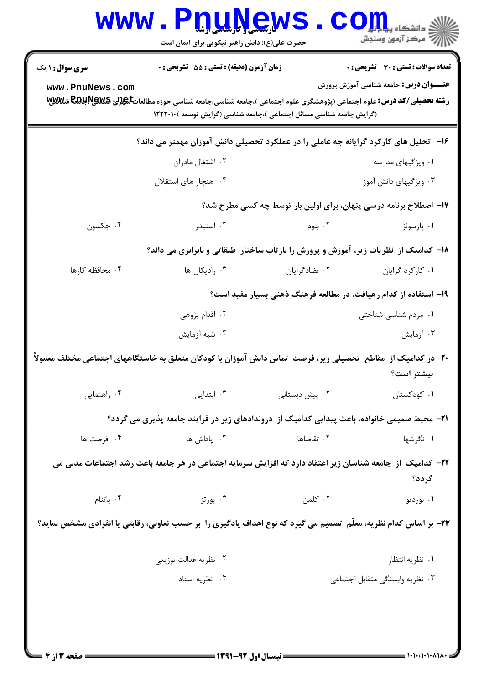| <b>WWW</b>                                                                                                              | <b>I. L. L. L. S. M.</b><br>حضرت علی(ع): دانش راهبر نیکویی برای ایمان است                                                             |                                                                      | د دانشگاه پ <b>یا ب<sup>ا</sup> با</b><br>رِ آھرڪز آزمون وسنڊش |  |  |
|-------------------------------------------------------------------------------------------------------------------------|---------------------------------------------------------------------------------------------------------------------------------------|----------------------------------------------------------------------|----------------------------------------------------------------|--|--|
| <b>سری سوال : ۱ یک</b>                                                                                                  | زمان آزمون (دقیقه) : تستی : 55 آتشریحی : 0                                                                                            |                                                                      | <b>تعداد سوالات : تستی : 30 ٪ تشریحی : 0</b>                   |  |  |
| www.PnuNews.com                                                                                                         | <b>رشته تحصیلی/کد درس:</b> علوم اجتماعی (پژوهشگری علوم اجتماعی )،جامعه شناسی،جامعه شناسی حوزه مطالعاتگه <b>لوی REGU PEGE شلاللالا</b> | (گرایش جامعه شناسی مسائل اجتماعی )،جامعه شناسی (گرایش توسعه )۱۲۲۲۰۱۰ | <b>عنـــوان درس:</b> جامعه شناسی آموزش پرورش                   |  |  |
| ۱۶– تحلیل های کارکرد گرایانه چه عاملی را در عملکرد تحصیلی دانش آموزان مهمتر می داند؟                                    |                                                                                                                                       |                                                                      |                                                                |  |  |
|                                                                                                                         | ۰۲ اشتغال مادران                                                                                                                      |                                                                      | ۰۱ ویژگیهای مدرسه                                              |  |  |
|                                                                                                                         | ۰۴ هنجار های استقلال                                                                                                                  |                                                                      | ۰۳ ویژگیهای دانش آموز                                          |  |  |
| ۱۷– اصطلاح برنامه درسی پنهان، برای اولین بار توسط چه کسی مطرح شد؟                                                       |                                                                                                                                       |                                                                      |                                                                |  |  |
| ۰۴ جکسون                                                                                                                | ۰۳ اسنیدر                                                                                                                             | ۰۲ بلوم                                                              | ۰۱ پارسونز                                                     |  |  |
|                                                                                                                         | ۱۸- کدامیک از نظریات زیر، آموزش و پرورش را بازتاب ساختار طبقاتی و نابرابری می داند؟                                                   |                                                                      |                                                                |  |  |
| ۰۴ محافظه کارها                                                                                                         | ۰۳ رادیکال ها                                                                                                                         | ۰۲ تضادگرایان                                                        | ٠١ كاركرد گرايان                                               |  |  |
|                                                                                                                         |                                                                                                                                       | ۱۹- استفاده از کدام رهیافت، در مطالعه فرهنگ ذهنی بسیار مفید است؟     |                                                                |  |  |
|                                                                                                                         | ۰۲ اقدام پژوهی                                                                                                                        |                                                                      | ۰۱ مردم شناسی شناختی                                           |  |  |
|                                                                                                                         | ۰۴ شبه آزمایش                                                                                                                         |                                                                      | ۰۳ آزمایش                                                      |  |  |
|                                                                                                                         | +۲- در کدامیک از  مقاطع  تحصیلی زیر، فرصت  تماس دانش آموزان با کودکان متعلق به خاستگاههای اجتماعی مختلف معمولاً                       |                                                                      | بيشتر است؟                                                     |  |  |
| ۰۴ راهنمایی                                                                                                             | ۰۳ ابتدایی                                                                                                                            | ۰۲ پیش دبستانی                                                       | ۰۱ کودکستان                                                    |  |  |
|                                                                                                                         | <b>۲۱</b> - محیط صمیمی خانواده، باعث پیدایی کدامیک از  دروندادهای زیر در فرایند جامعه پذیری می گردد؟                                  |                                                                      |                                                                |  |  |
| ۰۴ فرصت ها                                                                                                              | ۰۳ پاداش ها                                                                                                                           | ۰۲ تقاضاها                                                           | ۰۱ نگرشها                                                      |  |  |
| ٢٢- كداميك<br>از ِ جامعه شناسان زیر اعتقاد دارد که افزایش سرمایه اجتماعی در هر جامعه باعث رشد اجتماعات مدنی می<br>گردد؟ |                                                                                                                                       |                                                                      |                                                                |  |  |
| ۰۴ پاتنام                                                                                                               | ۰۳ پورتز                                                                                                                              | ۰۲ کلمن                                                              | ۰۱ بورديو                                                      |  |  |
| ۲۳- بر اساس کدام نظریه، معلّم  تصمیم می گیرد که نوع اهداف یادگیری را  بر حسب تعاونی، رقابتی یا انفرادی مشخص نماید؟      |                                                                                                                                       |                                                                      |                                                                |  |  |
|                                                                                                                         | ۰۲ نظریه عدالت توزیعی                                                                                                                 |                                                                      | ۰۱ نظریه انتظار                                                |  |  |
|                                                                                                                         | ۰۴ نظریه اسناد                                                                                                                        |                                                                      | ۰۳ نظریه وابستگی متقابل اجتماعی                                |  |  |
|                                                                                                                         |                                                                                                                                       |                                                                      |                                                                |  |  |